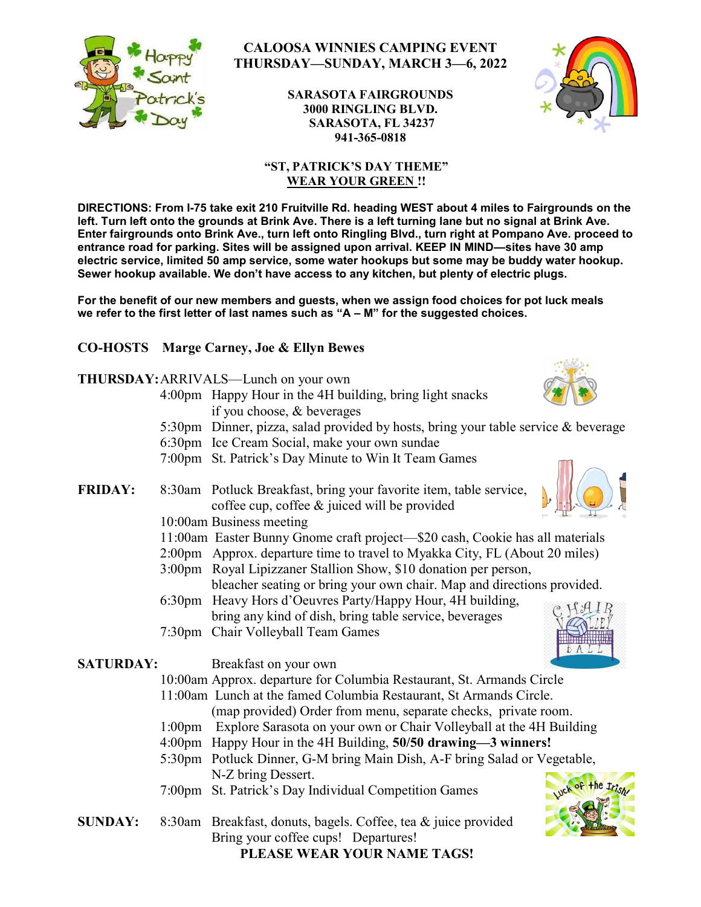

# **CALOOSA WINNIES CAMPING EVENT THURSDAY—SUNDAY, MARCH 3—6, 2022**

**SARASOTA FAIRGROUNDS 3000 RINGLING BLVD. SARASOTA, FL 34237 941-365-0818**



### **"ST, PATRICK'S DAY THEME" WEAR YOUR GREEN !!**

**DIRECTIONS: From I-75 take exit 210 Fruitville Rd. heading WEST about 4 miles to Fairgrounds on the left. Turn left onto the grounds at Brink Ave. There is a left turning lane but no signal at Brink Ave. Enter fairgrounds onto Brink Ave., turn left onto Ringling Blvd., turn right at Pompano Ave. proceed to entrance road for parking. Sites will be assigned upon arrival. KEEP IN MIND—sites have 30 amp electric service, limited 50 amp service, some water hookups but some may be buddy water hookup. Sewer hookup available. We don't have access to any kitchen, but plenty of electric plugs.** 

**For the benefit of our new members and guests, when we assign food choices for pot luck meals** we refer to the first letter of last names such as "A – M" for the suggested choices.

## **CO-HOSTS Marge Carney, Joe & Ellyn Bewes**

### **THURSDAY:**ARRIVALS—Lunch on your own

- 4:00pm Happy Hour in the 4H building, bring light snacks if you choose, & beverages
- 5:30pm Dinner, pizza, salad provided by hosts, bring your table service & beverage
- 6:30pm Ice Cream Social, make your own sundae
- 7:00pm St. Patrick's Day Minute to Win It Team Games
- **FRIDAY:** 8:30am Potluck Breakfast, bring your favorite item, table service, coffee cup, coffee & juiced will be provided 10:00am Business meeting
	-
	- 11:00am Easter Bunny Gnome craft project—\$20 cash, Cookie has all materials
	- 2:00pm Approx. departure time to travel to Myakka City, FL (About 20 miles)
	- 3:00pm Royal Lipizzaner Stallion Show, \$10 donation per person,
	- bleacher seating or bring your own chair. Map and directions provided. 6:30pm Heavy Hors d'Oeuvres Party/Happy Hour, 4H building,
	- bring any kind of dish, bring table service, beverages 7:30pm Chair Volleyball Team Games
- **SATURDAY:** Breakfast on your own
	- 10:00am Approx. departure for Columbia Restaurant, St. Armands Circle
	- 11:00am Lunch at the famed Columbia Restaurant, St Armands Circle.
		- (map provided) Order from menu, separate checks, private room.
	- 1:00pm Explore Sarasota on your own or Chair Volleyball at the 4H Building
	- 4:00pm Happy Hour in the 4H Building, **50/50 drawing—3 winners!**
	- 5:30pm Potluck Dinner, G-M bring Main Dish, A-F bring Salad or Vegetable, N-Z bring Dessert.
	- 7:00pm St. Patrick's Day Individual Competition Games
- **SUNDAY:** 8:30am Breakfast, donuts, bagels. Coffee, tea & juice provided Bring your coffee cups! Departures! **PLEASE WEAR YOUR NAME TAGS!**